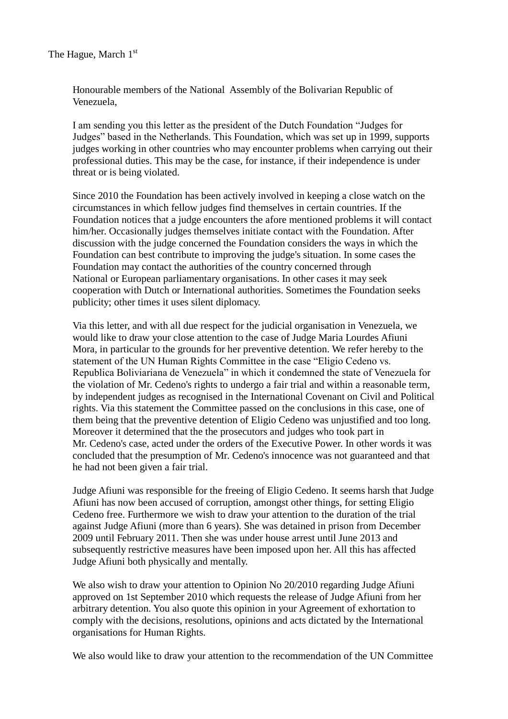Honourable members of the National Assembly of the Bolivarian Republic of Venezuela,

I am sending you this letter as the president of the Dutch Foundation "Judges for Judges" based in the Netherlands. This Foundation, which was set up in 1999, supports judges working in other countries who may encounter problems when carrying out their professional duties. This may be the case, for instance, if their independence is under threat or is being violated.

Since 2010 the Foundation has been actively involved in keeping a close watch on the circumstances in which fellow judges find themselves in certain countries. If the Foundation notices that a judge encounters the afore mentioned problems it will contact him/her. Occasionally judges themselves initiate contact with the Foundation. After discussion with the judge concerned the Foundation considers the ways in which the Foundation can best contribute to improving the judge's situation. In some cases the Foundation may contact the authorities of the country concerned through National or European parliamentary organisations. In other cases it may seek cooperation with Dutch or International authorities. Sometimes the Foundation seeks publicity; other times it uses silent diplomacy.

Via this letter, and with all due respect for the judicial organisation in Venezuela, we would like to draw your close attention to the case of Judge Maria Lourdes Afiuni Mora, in particular to the grounds for her preventive detention. We refer hereby to the statement of the UN Human Rights Committee in the case "Eligio Cedeno vs. Republica Boliviariana de Venezuela" in which it condemned the state of Venezuela for the violation of Mr. Cedeno's rights to undergo a fair trial and within a reasonable term, by independent judges as recognised in the International Covenant on Civil and Political rights. Via this statement the Committee passed on the conclusions in this case, one of them being that the preventive detention of Eligio Cedeno was unjustified and too long. Moreover it determined that the the prosecutors and judges who took part in Mr. Cedeno's case, acted under the orders of the Executive Power. In other words it was concluded that the presumption of Mr. Cedeno's innocence was not guaranteed and that he had not been given a fair trial.

Judge Afiuni was responsible for the freeing of Eligio Cedeno. It seems harsh that Judge Afiuni has now been accused of corruption, amongst other things, for setting Eligio Cedeno free. Furthermore we wish to draw your attention to the duration of the trial against Judge Afiuni (more than 6 years). She was detained in prison from December 2009 until February 2011. Then she was under house arrest until June 2013 and subsequently restrictive measures have been imposed upon her. All this has affected Judge Afiuni both physically and mentally.

We also wish to draw your attention to Opinion No 20/2010 regarding Judge Afiuni approved on 1st September 2010 which requests the release of Judge Afiuni from her arbitrary detention. You also quote this opinion in your Agreement of exhortation to comply with the decisions, resolutions, opinions and acts dictated by the International organisations for Human Rights.

We also would like to draw your attention to the recommendation of the UN Committee